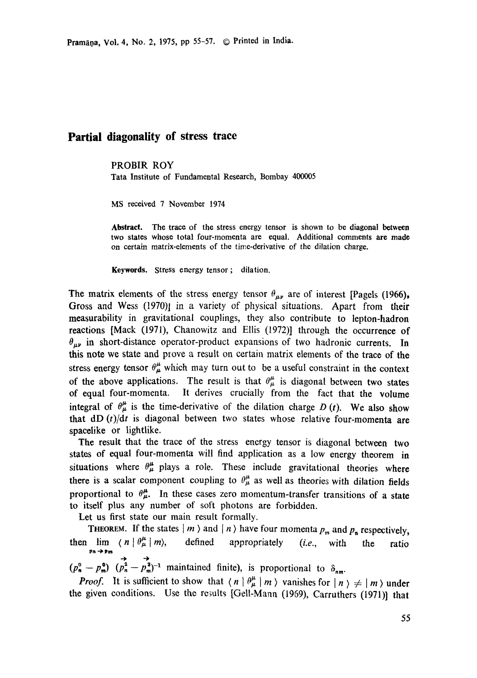## **Partial diagonality of stress trace**

PROBIR ROY

Tata Institute of Fundamental Research, Bombay 400005

MS received 7 November 1974

**Abstract.** The trace of the stress energy tensor is shown to be diagonal between two states whose total four-momenta are equal. Additional comments are made on certain matrix-elements of the time-derivative of the dilation charge.

Keywords. Stress energy tensor ; dilation.

The matrix elements of the stress energy tensor  $\theta_{\mu\nu}$  are of interest [Pagels (1966), Gross and Wess (1970)] in a variety of physical situations. Apart from their measurability in gravitational couplings, they also contribute to lepton-hadron reactions [Mack (1971), Chanowitz and Ellis (1972)] through the occurrence of  $\theta_{\mu\nu}$  in short-distance operator-product expansions of two hadronic currents. In this note we state and prove a result on certain matrix elements of the trace of the stress energy tensor  $\theta^{\mu}_{\mu}$  which may turn out to be a useful constraint in the context of the above applications. The result is that  $\theta^{\mu}_{\mu}$  is diagonal between two states of equal four-momenta. It derives crucially from the fact that the volume integral of  $\theta^{\mu}_{\mu}$  is the time-derivative of the dilation charge D (t). We also show that dD *(t)/dt* is diagonal between two states whose relative four-momenta are spacelike or lightlike.

The result that the trace of the stress energy tensor is diagonal between two states of equal four-momenta will find application as a low energy theorem in situations where  $\theta^{\mu}_{\mu}$  plays a role. These include gravitational theories where there is a scalar component coupling to  $\theta^{\mu}_{\mu}$  as well as theories with dilation fields proportional to  $\theta_{\mu}^{\mu}$ . In these cases zero momentum-transfer transitions of a state to itself plus any number of soft photons are forbidden.

Let us first state our main result formally.

THEOREM. If the states  $|m \rangle$  and  $|n \rangle$  have four momenta  $p_m$  and  $p_n$  respectively, then lim  $\langle n | \theta^{\mu}_{\mu} | m \rangle$ , defined appropriately *(i.e.*, with the ratio  $p_n \rightarrow p_m$ 

 $(p_n^0 - p_m^0)$   $\overrightarrow{(p_n^2 - p_m^2)^{-1}}$  maintained finite), is proportional to  $\delta_{nm}$ .

*Proof.* It is sufficient to show that  $\langle n | \theta_{\mu}^{\mu} | m \rangle$  vanishes for  $| n \rangle \neq | m \rangle$  under the given conditions. Use the results [Gell-Mann (1969), Carrathers (1971)] that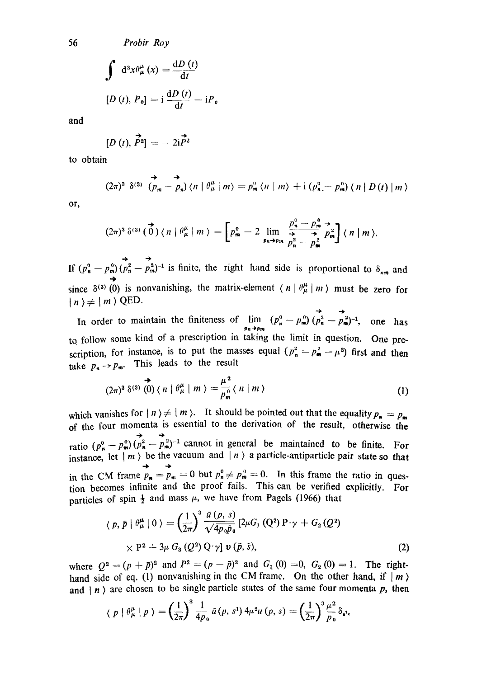56 *Probir Roy* 

$$
\int d^3x \theta_{\mu}^{\mu}(x) = \frac{dD(t)}{dt}
$$
  
[*D*(*t*), *P*<sub>0</sub>] = i  $\frac{dD(t)}{dt} - iP_0$ 

and

$$
[D(t), \vec{P}^2] = -2i\vec{P}^2
$$

to obtain

$$
(2\pi)^3 \delta^{(3)} \left( p_m - p_n \right) \langle n \mid \theta^{\mu}_{\mu} \mid m \rangle = p_m^0 \langle n \mid m \rangle + i \left( p_n^0 - p_m^0 \right) \langle n \mid D(t) \mid m \rangle
$$

or,

$$
(2\pi)^3 \,\delta^{(3)}\,(\stackrel{\rightarrow}{0})\, \langle n \mid \theta_\mu^\mu \mid m \rangle = \left[p_m^0 - 2 \lim_{p_n \to p_m} \frac{p_n^0 - p_m^0}{p_n^2 - p_m^2} p_m^2\right]\langle n \mid m \rangle.
$$

If  $(p_n^0 - p_m^0)(p_n^2 - p_m^2)^{-1}$  is finite, the right hand side is proportional to  $\delta_{nm}$  and since  $\delta^{(3)}$  (0) is nonvanishing, the matrix-element  $\langle n | \theta^{\mu}_{\mu} | m \rangle$  must be zero for  $|n\rangle \neq |m\rangle$  QED.

In order to maintain the finiteness of  $\lim_{p_n \to p_m} (p_n^{\circ} - p_m^{\circ}) (p_n^{\circ} - p_m^{\circ})^{-1}$ , one has to follow some kind of a prescription in taking the limit in question. One prescription, for instance, is to put the masses equal  $(p_n^2 = p_m^2 = \mu^2)$  first and then take  $p_n \rightarrow p_m$ . This leads to the result

$$
(2\pi)^3 \delta^{(3)}\stackrel{\leftrightarrow}{(0)}\langle n \mid \theta^{\mu}_{\mu} \mid m \rangle = \frac{\mu^2}{p_m^0} \langle n \mid m \rangle \tag{1}
$$

which vanishes for  $| n \rangle \neq | m \rangle$ . It should be pointed out that the equality  $p_n = p_m$ of the four momenta is essential to the derivation of the result, otherwise the ratio  $(p^0 - p^0)$   $(p^2 - p^2 - p^2)^{-1}$  cannot in general be maintained to be finite. For instance, let  $|m\rangle$  be the vacuum and  $|n\rangle$  a particle-antiparticle pair state so that in the CM frame  $p_n = p_m = 0$  but  $p_n^0 \neq p_m^0 = 0$ . In this frame the ratio in question becomes infinite and the proof fails. This can be verified explicitly. For particles of spin  $\frac{1}{2}$  and mass  $\mu$ , we have from Pagels (1966) that

$$
\langle p, \bar{p} | \theta^{\mu}_{\mu} | 0 \rangle = \left(\frac{1}{2\pi}\right)^3 \frac{\bar{u}(p, s)}{\sqrt{4p_0\bar{p}_0}} [2\mu G, (Q^2) P \gamma + G_2 (Q^2) \times P^2 + 3\mu G_3 (Q^2) Q \gamma] \nu (\bar{p}, \bar{s}), \qquad (2)
$$

where  $Q^2 = (p + \bar{p})^2$  and  $P^2 = (p - \bar{p})^2$  and  $G_1 (0) = 0$ ,  $G_2 (0) = 1$ . The righthand side of eq. (1) nonvanishing in the CM frame. On the other hand, if  $|m\rangle$ and  $| n \rangle$  are chosen to be single particle states of the same four momenta  $p$ , then

$$
\langle p | \theta^{\mu}_{\mu} | p \rangle = \left(\frac{1}{2\pi}\right)^3 \frac{1}{4p_0} \bar{u}(p, s^1) 4\mu^2 u(p, s) = \left(\frac{1}{2\pi}\right)^3 \frac{\mu^2}{p_0} \delta_{s^1},
$$